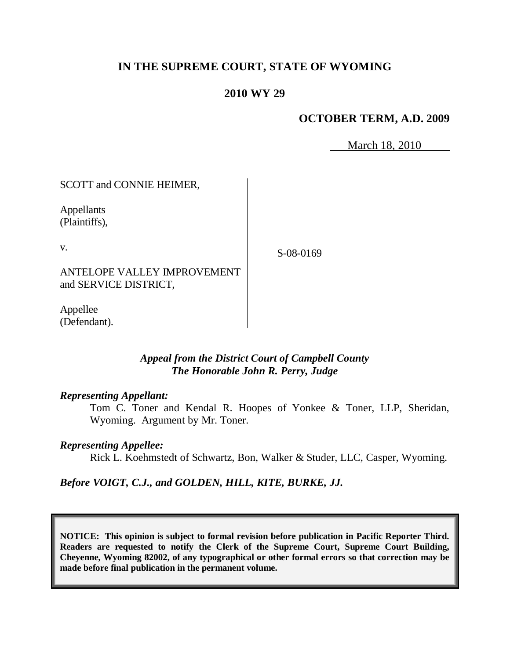# **IN THE SUPREME COURT, STATE OF WYOMING**

## **2010 WY 29**

## **OCTOBER TERM, A.D. 2009**

March 18, 2010

SCOTT and CONNIE HEIMER,

Appellants (Plaintiffs),

v.

S-08-0169

ANTELOPE VALLEY IMPROVEMENT and SERVICE DISTRICT,

Appellee (Defendant).

## *Appeal from the District Court of Campbell County The Honorable John R. Perry, Judge*

#### *Representing Appellant:*

Tom C. Toner and Kendal R. Hoopes of Yonkee & Toner, LLP, Sheridan, Wyoming. Argument by Mr. Toner.

### *Representing Appellee:*

Rick L. Koehmstedt of Schwartz, Bon, Walker & Studer, LLC, Casper, Wyoming.

*Before VOIGT, C.J., and GOLDEN, HILL, KITE, BURKE, JJ.*

**NOTICE: This opinion is subject to formal revision before publication in Pacific Reporter Third. Readers are requested to notify the Clerk of the Supreme Court, Supreme Court Building, Cheyenne, Wyoming 82002, of any typographical or other formal errors so that correction may be made before final publication in the permanent volume.**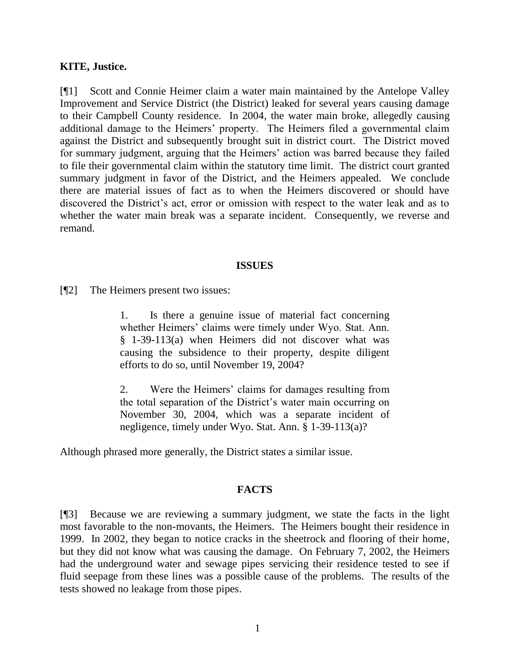### **KITE, Justice.**

[¶1] Scott and Connie Heimer claim a water main maintained by the Antelope Valley Improvement and Service District (the District) leaked for several years causing damage to their Campbell County residence. In 2004, the water main broke, allegedly causing additional damage to the Heimers" property. The Heimers filed a governmental claim against the District and subsequently brought suit in district court. The District moved for summary judgment, arguing that the Heimers' action was barred because they failed to file their governmental claim within the statutory time limit. The district court granted summary judgment in favor of the District, and the Heimers appealed. We conclude there are material issues of fact as to when the Heimers discovered or should have discovered the District's act, error or omission with respect to the water leak and as to whether the water main break was a separate incident. Consequently, we reverse and remand.

#### **ISSUES**

[¶2] The Heimers present two issues:

1. Is there a genuine issue of material fact concerning whether Heimers' claims were timely under Wyo. Stat. Ann. § 1-39-113(a) when Heimers did not discover what was causing the subsidence to their property, despite diligent efforts to do so, until November 19, 2004?

2. Were the Heimers" claims for damages resulting from the total separation of the District's water main occurring on November 30, 2004, which was a separate incident of negligence, timely under Wyo. Stat. Ann. § 1-39-113(a)?

Although phrased more generally, the District states a similar issue.

#### **FACTS**

[¶3] Because we are reviewing a summary judgment, we state the facts in the light most favorable to the non-movants, the Heimers. The Heimers bought their residence in 1999. In 2002, they began to notice cracks in the sheetrock and flooring of their home, but they did not know what was causing the damage. On February 7, 2002, the Heimers had the underground water and sewage pipes servicing their residence tested to see if fluid seepage from these lines was a possible cause of the problems. The results of the tests showed no leakage from those pipes.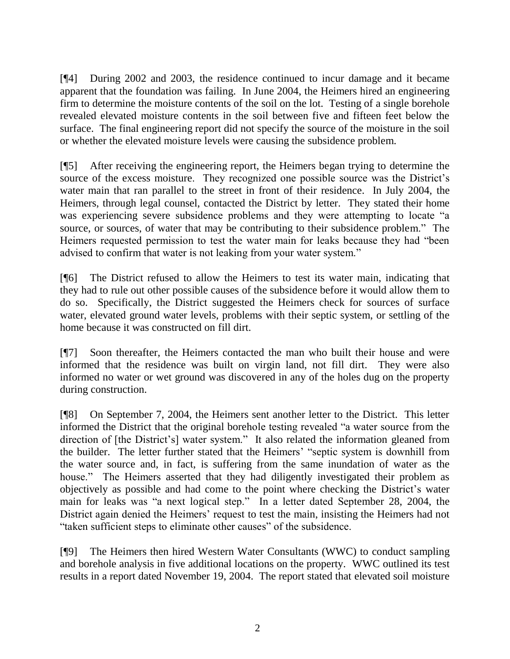[¶4] During 2002 and 2003, the residence continued to incur damage and it became apparent that the foundation was failing. In June 2004, the Heimers hired an engineering firm to determine the moisture contents of the soil on the lot. Testing of a single borehole revealed elevated moisture contents in the soil between five and fifteen feet below the surface. The final engineering report did not specify the source of the moisture in the soil or whether the elevated moisture levels were causing the subsidence problem.

[¶5] After receiving the engineering report, the Heimers began trying to determine the source of the excess moisture. They recognized one possible source was the District's water main that ran parallel to the street in front of their residence. In July 2004, the Heimers, through legal counsel, contacted the District by letter. They stated their home was experiencing severe subsidence problems and they were attempting to locate "a source, or sources, of water that may be contributing to their subsidence problem." The Heimers requested permission to test the water main for leaks because they had "been advised to confirm that water is not leaking from your water system."

[¶6] The District refused to allow the Heimers to test its water main, indicating that they had to rule out other possible causes of the subsidence before it would allow them to do so. Specifically, the District suggested the Heimers check for sources of surface water, elevated ground water levels, problems with their septic system, or settling of the home because it was constructed on fill dirt.

[¶7] Soon thereafter, the Heimers contacted the man who built their house and were informed that the residence was built on virgin land, not fill dirt. They were also informed no water or wet ground was discovered in any of the holes dug on the property during construction.

[¶8] On September 7, 2004, the Heimers sent another letter to the District. This letter informed the District that the original borehole testing revealed "a water source from the direction of [the District's] water system." It also related the information gleaned from the builder. The letter further stated that the Heimers" "septic system is downhill from the water source and, in fact, is suffering from the same inundation of water as the house." The Heimers asserted that they had diligently investigated their problem as objectively as possible and had come to the point where checking the District's water main for leaks was "a next logical step." In a letter dated September 28, 2004, the District again denied the Heimers' request to test the main, insisting the Heimers had not "taken sufficient steps to eliminate other causes" of the subsidence.

[¶9] The Heimers then hired Western Water Consultants (WWC) to conduct sampling and borehole analysis in five additional locations on the property. WWC outlined its test results in a report dated November 19, 2004. The report stated that elevated soil moisture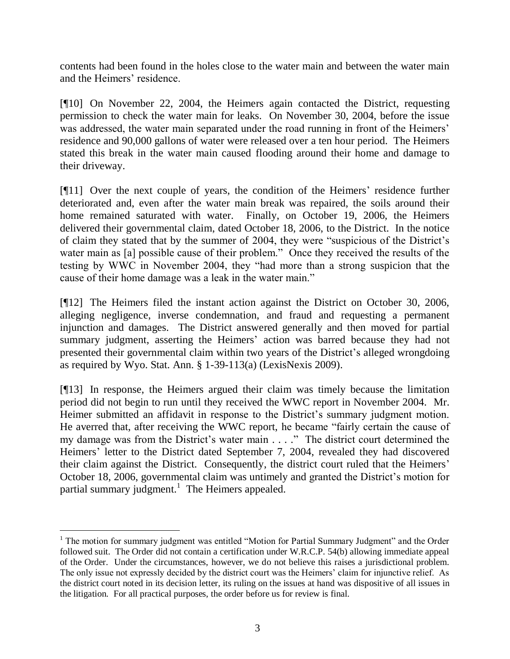contents had been found in the holes close to the water main and between the water main and the Heimers' residence.

[¶10] On November 22, 2004, the Heimers again contacted the District, requesting permission to check the water main for leaks. On November 30, 2004, before the issue was addressed, the water main separated under the road running in front of the Heimers' residence and 90,000 gallons of water were released over a ten hour period. The Heimers stated this break in the water main caused flooding around their home and damage to their driveway.

[¶11] Over the next couple of years, the condition of the Heimers' residence further deteriorated and, even after the water main break was repaired, the soils around their home remained saturated with water. Finally, on October 19, 2006, the Heimers delivered their governmental claim, dated October 18, 2006, to the District. In the notice of claim they stated that by the summer of 2004, they were "suspicious of the District"s water main as [a] possible cause of their problem." Once they received the results of the testing by WWC in November 2004, they "had more than a strong suspicion that the cause of their home damage was a leak in the water main."

[¶12] The Heimers filed the instant action against the District on October 30, 2006, alleging negligence, inverse condemnation, and fraud and requesting a permanent injunction and damages. The District answered generally and then moved for partial summary judgment, asserting the Heimers' action was barred because they had not presented their governmental claim within two years of the District"s alleged wrongdoing as required by Wyo. Stat. Ann. § 1-39-113(a) (LexisNexis 2009).

[¶13] In response, the Heimers argued their claim was timely because the limitation period did not begin to run until they received the WWC report in November 2004. Mr. Heimer submitted an affidavit in response to the District's summary judgment motion. He averred that, after receiving the WWC report, he became "fairly certain the cause of my damage was from the District's water main . . . ." The district court determined the Heimers' letter to the District dated September 7, 2004, revealed they had discovered their claim against the District. Consequently, the district court ruled that the Heimers" October 18, 2006, governmental claim was untimely and granted the District's motion for partial summary judgment.<sup>1</sup> The Heimers appealed.

 $\overline{a}$ 

 $1$  The motion for summary judgment was entitled "Motion for Partial Summary Judgment" and the Order followed suit. The Order did not contain a certification under W.R.C.P. 54(b) allowing immediate appeal of the Order. Under the circumstances, however, we do not believe this raises a jurisdictional problem. The only issue not expressly decided by the district court was the Heimers' claim for injunctive relief. As the district court noted in its decision letter, its ruling on the issues at hand was dispositive of all issues in the litigation. For all practical purposes, the order before us for review is final.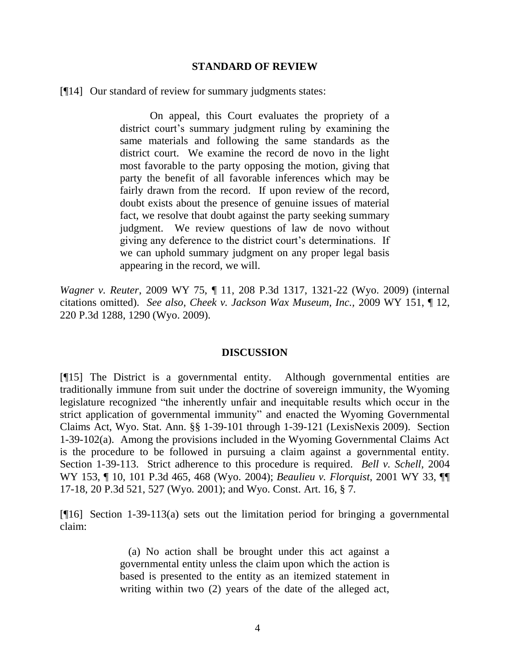#### **STANDARD OF REVIEW**

[¶14] Our standard of review for summary judgments states:

On appeal, this Court evaluates the propriety of a district court's summary judgment ruling by examining the same materials and following the same standards as the district court. We examine the record de novo in the light most favorable to the party opposing the motion, giving that party the benefit of all favorable inferences which may be fairly drawn from the record. If upon review of the record, doubt exists about the presence of genuine issues of material fact, we resolve that doubt against the party seeking summary judgment. We review questions of law de novo without giving any deference to the district court's determinations. If we can uphold summary judgment on any proper legal basis appearing in the record, we will.

*Wagner v. Reuter*, 2009 WY 75, ¶ 11, 208 P.3d 1317, 1321-22 (Wyo. 2009) (internal citations omitted). *See also*, *Cheek v. Jackson Wax Museum, Inc.,* 2009 WY 151, ¶ 12, 220 P.3d 1288, 1290 (Wyo. 2009).

#### **DISCUSSION**

[¶15] The District is a governmental entity. Although governmental entities are traditionally immune from suit under the doctrine of sovereign immunity, the Wyoming legislature recognized "the inherently unfair and inequitable results which occur in the strict application of governmental immunity" and enacted the Wyoming Governmental Claims Act, Wyo. Stat. Ann. §§ 1-39-101 through 1-39-121 (LexisNexis 2009). Section 1-39-102(a). Among the provisions included in the Wyoming Governmental Claims Act is the procedure to be followed in pursuing a claim against a governmental entity. Section 1-39-113. Strict adherence to this procedure is required. *Bell v. Schell*, 2004 WY 153, ¶ 10, 101 P.3d 465, 468 (Wyo. 2004); *Beaulieu v. Florquist*, 2001 WY 33, ¶¶ 17-18, 20 P.3d 521, 527 (Wyo. 2001); and Wyo. Const. Art. 16, § 7.

[¶16] Section 1-39-113(a) sets out the limitation period for bringing a governmental claim:

> (a) No action shall be brought under this act against a governmental entity unless the claim upon which the action is based is presented to the entity as an itemized statement in writing within two (2) years of the date of the alleged act,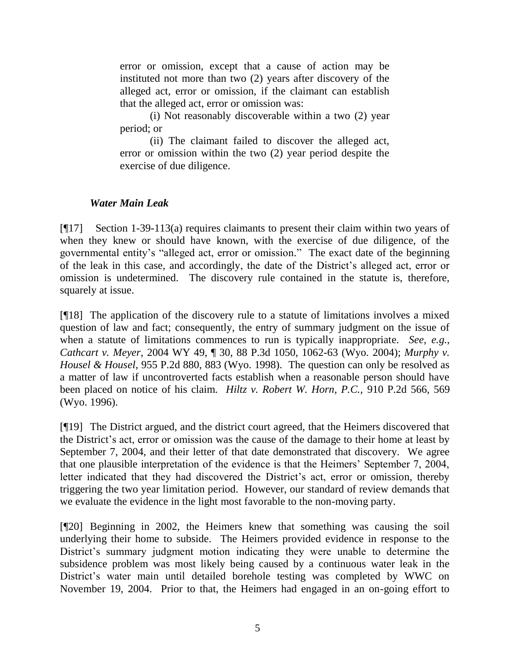error or omission, except that a cause of action may be instituted not more than two (2) years after discovery of the alleged act, error or omission, if the claimant can establish that the alleged act, error or omission was:

(i) Not reasonably discoverable within a two (2) year period; or

(ii) The claimant failed to discover the alleged act, error or omission within the two (2) year period despite the exercise of due diligence.

# *Water Main Leak*

[¶17] Section 1-39-113(a) requires claimants to present their claim within two years of when they knew or should have known, with the exercise of due diligence, of the governmental entity"s "alleged act, error or omission." The exact date of the beginning of the leak in this case, and accordingly, the date of the District's alleged act, error or omission is undetermined. The discovery rule contained in the statute is, therefore, squarely at issue.

[¶18] The application of the discovery rule to a statute of limitations involves a mixed question of law and fact; consequently, the entry of summary judgment on the issue of when a statute of limitations commences to run is typically inappropriate. *See, e.g.*, *Cathcart v. Meyer*, 2004 WY 49, ¶ 30, 88 P.3d 1050, 1062-63 (Wyo. 2004); *Murphy v. Housel & Housel*, 955 P.2d 880, 883 (Wyo. 1998). The question can only be resolved as a matter of law if uncontroverted facts establish when a reasonable person should have been placed on notice of his claim. *Hiltz v. Robert W. Horn, P.C.,* 910 P.2d 566, 569 (Wyo. 1996).

[¶19] The District argued, and the district court agreed, that the Heimers discovered that the District"s act, error or omission was the cause of the damage to their home at least by September 7, 2004, and their letter of that date demonstrated that discovery. We agree that one plausible interpretation of the evidence is that the Heimers" September 7, 2004, letter indicated that they had discovered the District's act, error or omission, thereby triggering the two year limitation period. However, our standard of review demands that we evaluate the evidence in the light most favorable to the non-moving party.

[¶20] Beginning in 2002, the Heimers knew that something was causing the soil underlying their home to subside. The Heimers provided evidence in response to the District's summary judgment motion indicating they were unable to determine the subsidence problem was most likely being caused by a continuous water leak in the District's water main until detailed borehole testing was completed by WWC on November 19, 2004. Prior to that, the Heimers had engaged in an on-going effort to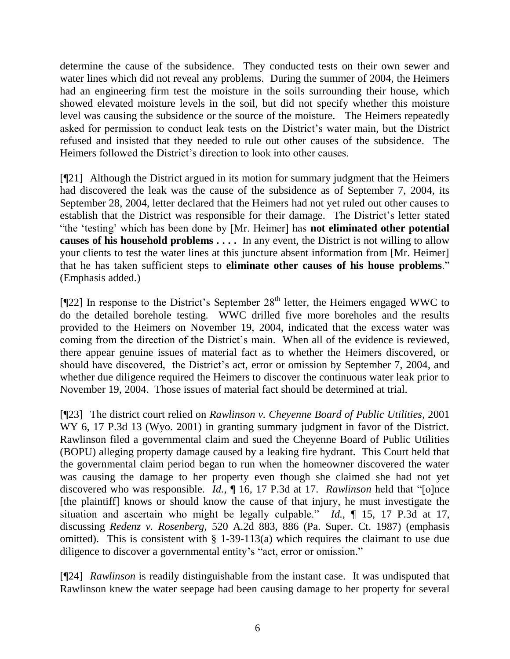determine the cause of the subsidence. They conducted tests on their own sewer and water lines which did not reveal any problems. During the summer of 2004, the Heimers had an engineering firm test the moisture in the soils surrounding their house, which showed elevated moisture levels in the soil, but did not specify whether this moisture level was causing the subsidence or the source of the moisture. The Heimers repeatedly asked for permission to conduct leak tests on the District's water main, but the District refused and insisted that they needed to rule out other causes of the subsidence. The Heimers followed the District's direction to look into other causes.

[¶21] Although the District argued in its motion for summary judgment that the Heimers had discovered the leak was the cause of the subsidence as of September 7, 2004, its September 28, 2004, letter declared that the Heimers had not yet ruled out other causes to establish that the District was responsible for their damage. The District"s letter stated "the "testing" which has been done by [Mr. Heimer] has **not eliminated other potential causes of his household problems . . . .** In any event, the District is not willing to allow your clients to test the water lines at this juncture absent information from [Mr. Heimer] that he has taken sufficient steps to **eliminate other causes of his house problems**." (Emphasis added.)

 $[$ [[22] In response to the District's September 28<sup>th</sup> letter, the Heimers engaged WWC to do the detailed borehole testing. WWC drilled five more boreholes and the results provided to the Heimers on November 19, 2004, indicated that the excess water was coming from the direction of the District's main. When all of the evidence is reviewed, there appear genuine issues of material fact as to whether the Heimers discovered, or should have discovered, the District's act, error or omission by September 7, 2004, and whether due diligence required the Heimers to discover the continuous water leak prior to November 19, 2004. Those issues of material fact should be determined at trial.

[¶23] The district court relied on *Rawlinson v. Cheyenne Board of Public Utilities*, 2001 WY 6, 17 P.3d 13 (Wyo. 2001) in granting summary judgment in favor of the District. Rawlinson filed a governmental claim and sued the Cheyenne Board of Public Utilities (BOPU) alleging property damage caused by a leaking fire hydrant. This Court held that the governmental claim period began to run when the homeowner discovered the water was causing the damage to her property even though she claimed she had not yet discovered who was responsible. *Id.*, ¶ 16, 17 P.3d at 17. *Rawlinson* held that "[o]nce [the plaintiff] knows or should know the cause of that injury, he must investigate the situation and ascertain who might be legally culpable." *Id.,* ¶ 15, 17 P.3d at 17, discussing *Redenz v. Rosenberg,* 520 A.2d 883, 886 (Pa. Super. Ct. 1987) (emphasis omitted). This is consistent with  $\S$  1-39-113(a) which requires the claimant to use due diligence to discover a governmental entity"s "act, error or omission."

[¶24] *Rawlinson* is readily distinguishable from the instant case. It was undisputed that Rawlinson knew the water seepage had been causing damage to her property for several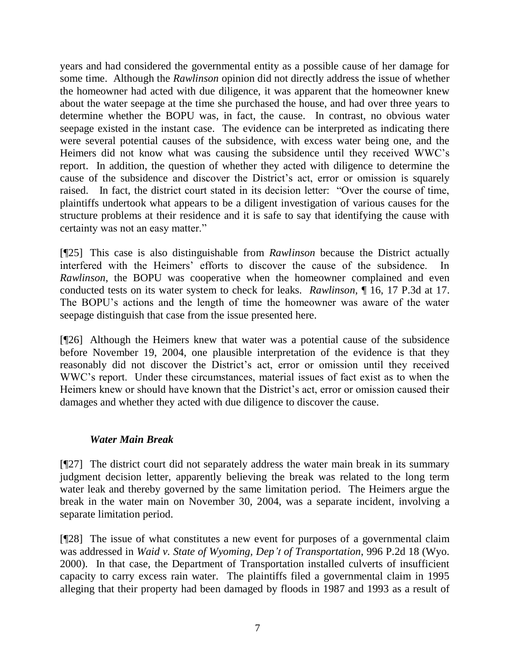years and had considered the governmental entity as a possible cause of her damage for some time. Although the *Rawlinson* opinion did not directly address the issue of whether the homeowner had acted with due diligence, it was apparent that the homeowner knew about the water seepage at the time she purchased the house, and had over three years to determine whether the BOPU was, in fact, the cause. In contrast, no obvious water seepage existed in the instant case. The evidence can be interpreted as indicating there were several potential causes of the subsidence, with excess water being one, and the Heimers did not know what was causing the subsidence until they received WWC"s report. In addition, the question of whether they acted with diligence to determine the cause of the subsidence and discover the District's act, error or omission is squarely raised. In fact, the district court stated in its decision letter: "Over the course of time, plaintiffs undertook what appears to be a diligent investigation of various causes for the structure problems at their residence and it is safe to say that identifying the cause with certainty was not an easy matter."

[¶25] This case is also distinguishable from *Rawlinson* because the District actually interfered with the Heimers" efforts to discover the cause of the subsidence. In *Rawlinson*, the BOPU was cooperative when the homeowner complained and even conducted tests on its water system to check for leaks. *Rawlinson,* ¶ 16, 17 P.3d at 17. The BOPU"s actions and the length of time the homeowner was aware of the water seepage distinguish that case from the issue presented here.

[¶26] Although the Heimers knew that water was a potential cause of the subsidence before November 19, 2004, one plausible interpretation of the evidence is that they reasonably did not discover the District's act, error or omission until they received WWC"s report. Under these circumstances, material issues of fact exist as to when the Heimers knew or should have known that the District's act, error or omission caused their damages and whether they acted with due diligence to discover the cause.

# *Water Main Break*

[¶27] The district court did not separately address the water main break in its summary judgment decision letter, apparently believing the break was related to the long term water leak and thereby governed by the same limitation period. The Heimers argue the break in the water main on November 30, 2004, was a separate incident, involving a separate limitation period.

[¶28] The issue of what constitutes a new event for purposes of a governmental claim was addressed in *Waid v. State of Wyoming, Dep't of Transportation*, 996 P.2d 18 (Wyo. 2000). In that case, the Department of Transportation installed culverts of insufficient capacity to carry excess rain water. The plaintiffs filed a governmental claim in 1995 alleging that their property had been damaged by floods in 1987 and 1993 as a result of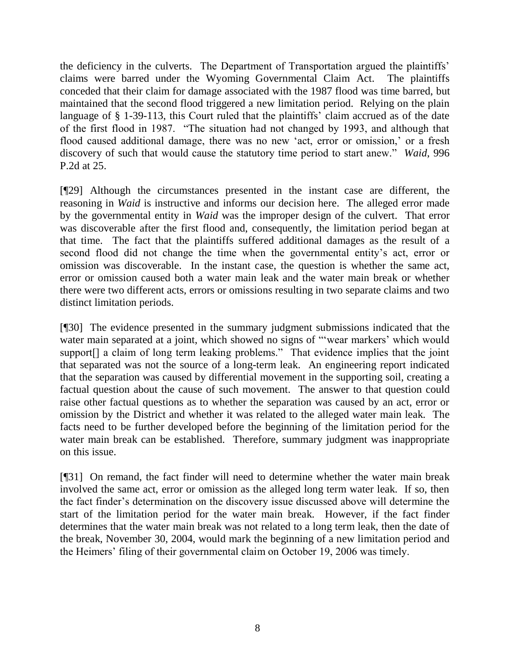the deficiency in the culverts. The Department of Transportation argued the plaintiffs" claims were barred under the Wyoming Governmental Claim Act. The plaintiffs conceded that their claim for damage associated with the 1987 flood was time barred, but maintained that the second flood triggered a new limitation period. Relying on the plain language of § 1-39-113, this Court ruled that the plaintiffs' claim accrued as of the date of the first flood in 1987. "The situation had not changed by 1993, and although that flood caused additional damage, there was no new 'act, error or omission,' or a fresh discovery of such that would cause the statutory time period to start anew." *Waid*, 996 P.2d at 25.

[¶29] Although the circumstances presented in the instant case are different, the reasoning in *Waid* is instructive and informs our decision here. The alleged error made by the governmental entity in *Waid* was the improper design of the culvert. That error was discoverable after the first flood and, consequently, the limitation period began at that time. The fact that the plaintiffs suffered additional damages as the result of a second flood did not change the time when the governmental entity"s act, error or omission was discoverable. In the instant case, the question is whether the same act, error or omission caused both a water main leak and the water main break or whether there were two different acts, errors or omissions resulting in two separate claims and two distinct limitation periods.

[¶30] The evidence presented in the summary judgment submissions indicated that the water main separated at a joint, which showed no signs of "wear markers' which would support<sup>[]</sup> a claim of long term leaking problems." That evidence implies that the joint that separated was not the source of a long-term leak. An engineering report indicated that the separation was caused by differential movement in the supporting soil, creating a factual question about the cause of such movement. The answer to that question could raise other factual questions as to whether the separation was caused by an act, error or omission by the District and whether it was related to the alleged water main leak. The facts need to be further developed before the beginning of the limitation period for the water main break can be established. Therefore, summary judgment was inappropriate on this issue.

[¶31] On remand, the fact finder will need to determine whether the water main break involved the same act, error or omission as the alleged long term water leak. If so, then the fact finder"s determination on the discovery issue discussed above will determine the start of the limitation period for the water main break. However, if the fact finder determines that the water main break was not related to a long term leak, then the date of the break, November 30, 2004, would mark the beginning of a new limitation period and the Heimers" filing of their governmental claim on October 19, 2006 was timely.